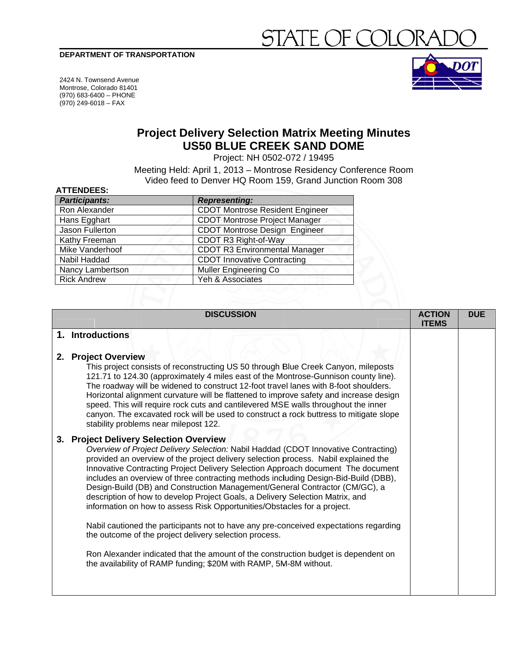#### DEPARTMENT OF TRANSPORTATION

# $E($

2424 N. Townsend Avenue Montrose, Colorado 81401 (970) 683-6400 - PHONE  $(970)$  249-6018 - FAX

**ATTENDEES.** 



## **Project Delivery Selection Matrix Meeting Minutes US50 BLUE CREEK SAND DOME**

Project: NH 0502-072 / 19495

Meeting Held: April 1, 2013 - Montrose Residency Conference Room Video feed to Denver HQ Room 159, Grand Junction Room 308

| 81 I LIVULLU.        |                                        |
|----------------------|----------------------------------------|
| <b>Participants:</b> | <b>Representing:</b>                   |
| Ron Alexander        | <b>CDOT Montrose Resident Engineer</b> |
| Hans Egghart         | <b>CDOT Montrose Project Manager</b>   |
| Jason Fullerton      | <b>CDOT Montrose Design Engineer</b>   |
| Kathy Freeman        | CDOT R3 Right-of-Way                   |
| Mike Vanderhoof      | <b>CDOT R3 Environmental Manager</b>   |
| Nabil Haddad         | <b>CDOT Innovative Contracting</b>     |
| Nancy Lambertson     | <b>Muller Engineering Co</b>           |
| <b>Rick Andrew</b>   | Yeh & Associates                       |
|                      |                                        |

|    |                                                                                                                                                                                                                                                                                                                                                                                                                                                                                                                                                                                                                                                | <b>ITEMS</b> | <b>DUE</b> |
|----|------------------------------------------------------------------------------------------------------------------------------------------------------------------------------------------------------------------------------------------------------------------------------------------------------------------------------------------------------------------------------------------------------------------------------------------------------------------------------------------------------------------------------------------------------------------------------------------------------------------------------------------------|--------------|------------|
|    | 1. Introductions                                                                                                                                                                                                                                                                                                                                                                                                                                                                                                                                                                                                                               |              |            |
|    | 2. Project Overview<br>This project consists of reconstructing US 50 through Blue Creek Canyon, mileposts<br>121.71 to 124.30 (approximately 4 miles east of the Montrose-Gunnison county line).<br>The roadway will be widened to construct 12-foot travel lanes with 8-foot shoulders.<br>Horizontal alignment curvature will be flattened to improve safety and increase design<br>speed. This will require rock cuts and cantilevered MSE walls throughout the inner<br>canyon. The excavated rock will be used to construct a rock buttress to mitigate slope<br>stability problems near milepost 122.                                    |              |            |
| 3. | <b>Project Delivery Selection Overview</b><br>Overview of Project Delivery Selection: Nabil Haddad (CDOT Innovative Contracting)<br>provided an overview of the project delivery selection process. Nabil explained the<br>Innovative Contracting Project Delivery Selection Approach document The document<br>includes an overview of three contracting methods including Design-Bid-Build (DBB),<br>Design-Build (DB) and Construction Management/General Contractor (CM/GC), a<br>description of how to develop Project Goals, a Delivery Selection Matrix, and<br>information on how to assess Risk Opportunities/Obstacles for a project. |              |            |
|    | Nabil cautioned the participants not to have any pre-conceived expectations regarding<br>the outcome of the project delivery selection process.                                                                                                                                                                                                                                                                                                                                                                                                                                                                                                |              |            |
|    | Ron Alexander indicated that the amount of the construction budget is dependent on<br>the availability of RAMP funding; \$20M with RAMP, 5M-8M without.                                                                                                                                                                                                                                                                                                                                                                                                                                                                                        |              |            |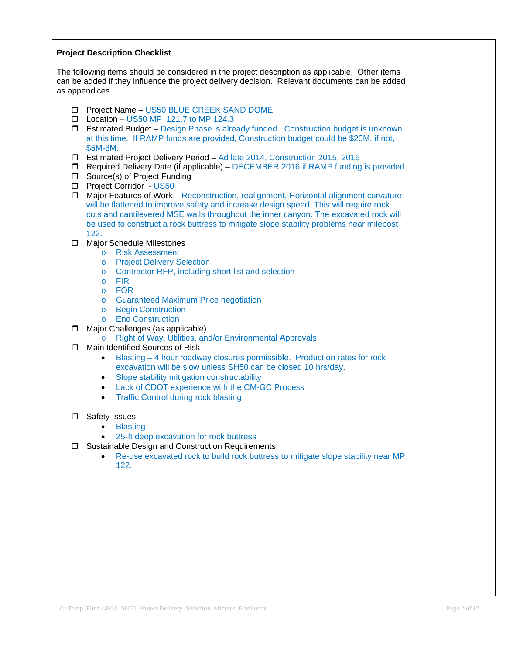#### **Project Description Checklist**

The following items should be considered in the project description as applicable. Other items can be added if they influence the project delivery decision. Relevant documents can be added as appendices.

- Project Name US50 BLUE CREEK SAND DOME
- $\Box$  Location US50 MP 121.7 to MP 124.3
- $\Box$  Estimated Budget Design Phase is already funded. Construction budget is unknown at this time. If RAMP funds are provided, Construction budget could be \$20M, if not, \$5M-8M.
- □ Estimated Project Delivery Period Ad late 2014, Construction 2015, 2016
- $\Box$  Required Delivery Date (if applicable) DECEMBER 2016 if RAMP funding is provided
- Source(s) of Project Funding
- Project Corridor US50
- □ Major Features of Work Reconstruction, realignment, Horizontal alignment curvature will be flattened to improve safety and increase design speed. This will require rock cuts and cantilevered MSE walls throughout the inner canyon. The excavated rock will be used to construct a rock buttress to mitigate slope stability problems near milepost 122.
- Maior Schedule Milestones
	- o Risk Assessment
	- **Project Delivery Selection**  $\triangle$
	- Contractor RFP, including short list and selection  $\sim$
	- o FIR
	- o FOR
	- o Guaranteed Maximum Price negotiation
	- o Begin Construction
	- o End Construction
- $\Box$  Major Challenges (as applicable)
	- o Right of Way, Utilities, and/or Environmental Approvals
- Main Identified Sources of Risk
	- Blasting 4 hour roadway closures permissible. Production rates for rock  $\bullet$ excavation will be slow unless SH50 can be closed 10 hrs/day.
	- Slope stability mitigation constructability  $\bullet$
	- Lack of CDOT experience with the CM-GC Process  $\bullet$
	- **Traffic Control during rock blasting**  $\bullet$
- □ Safety Issues
	- **Blasting**
	- 25-ft deep excavation for rock buttress
- **J** Sustainable Design and Construction Requirements
	- Re-use excavated rock to build rock buttress to mitigate slope stability near MP  $\bullet$  $122.$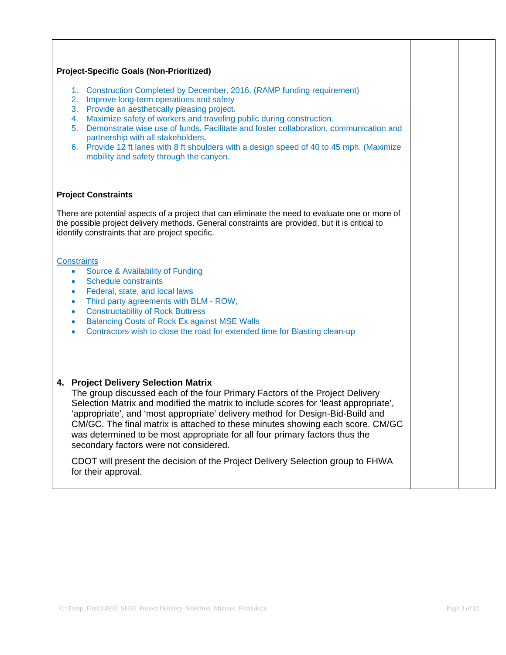# **Project-Specific Goals (Non-Prioritized)** 1. Construction Completed by December, 2016. (RAMP funding requirement) 2. Improve long-term operations and safety 3. Provide an aesthetically pleasing project. 4. Maximize safety of workers and traveling public during construction. 5. Demonstrate wise use of funds. Facilitate and foster collaboration, communication and partnership with all stakeholders. 6. Provide 12 ft lanes with 8 ft shoulders with a design speed of 40 to 45 mph. (Maximize mobility and safety through the canyon. **Project Constraints** There are potential aspects of a project that can eliminate the need to evaluate one or more of the possible project delivery methods. General constraints are provided, but it is critical to identify constraints that are project specific. **Constraints** Source & Availability of Funding  $\bullet$ Schedule constraints Federal, state, and local laws Third party agreements with BLM - ROW. • Constructability of Rock Buttress • Balancing Costs of Rock Ex against MSE Walls Contractors wish to close the road for extended time for Blasting clean-up 4. Project Delivery Selection Matrix The group discussed each of the four Primary Factors of the Project Delivery Selection Matrix and modified the matrix to include scores for 'least appropriate'. 'appropriate', and 'most appropriate' delivery method for Design-Bid-Build and CM/GC. The final matrix is attached to these minutes showing each score. CM/GC was determined to be most appropriate for all four primary factors thus the secondary factors were not considered. CDOT will present the decision of the Project Delivery Selection group to FHWA for their approval.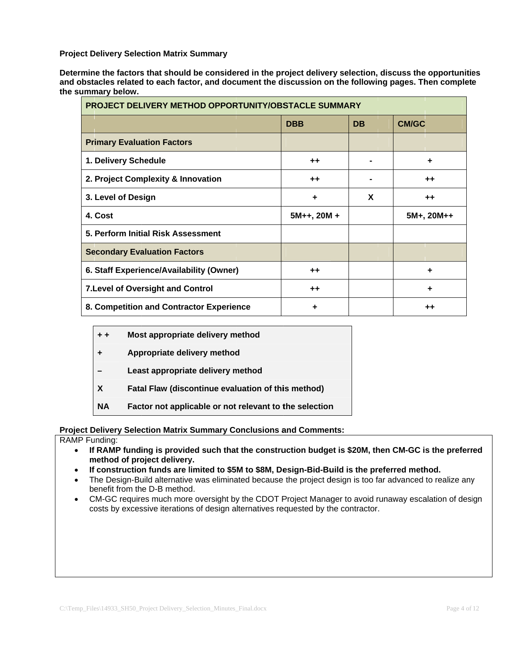**Project Delivery Selection Matrix Summary** 

Determine the factors that should be considered in the project delivery selection, discuss the opportunities and obstacles related to each factor, and document the discussion on the following pages. Then complete the summary below.

| <b>PROJECT DELIVERY METHOD OPPORTUNITY/OBSTACLE SUMMARY</b> |                |                |                |  |
|-------------------------------------------------------------|----------------|----------------|----------------|--|
|                                                             | <b>DBB</b>     | <b>DB</b>      | <b>CM/GC</b>   |  |
| <b>Primary Evaluation Factors</b>                           |                |                |                |  |
| 1. Delivery Schedule                                        | $++$           | $\blacksquare$ | ÷              |  |
| 2. Project Complexity & Innovation                          | $++$           |                | $^{\tiny{++}}$ |  |
| 3. Level of Design                                          | ٠              | X              | $^{\tiny{++}}$ |  |
| 4. Cost                                                     | $5M++$ , 20M + |                | $5M+$ , 20M++  |  |
| 5. Perform Initial Risk Assessment                          |                |                |                |  |
| <b>Secondary Evaluation Factors</b>                         |                |                |                |  |
| 6. Staff Experience/Availability (Owner)                    | $++$           |                | ٠              |  |
| <b>7. Level of Oversight and Control</b>                    | $++$           |                | ٠              |  |
| 8. Competition and Contractor Experience                    | ٠              |                | ++             |  |

| $+ +$     | Most appropriate delivery method                          |
|-----------|-----------------------------------------------------------|
| ٠         | Appropriate delivery method                               |
|           | Least appropriate delivery method                         |
| X         | <b>Fatal Flaw (discontinue evaluation of this method)</b> |
| <b>NA</b> | Factor not applicable or not relevant to the selection    |

#### **Project Delivery Selection Matrix Summary Conclusions and Comments:**

RAMP Funding:

- If RAMP funding is provided such that the construction budget is \$20M, then CM-GC is the preferred  $\bullet$ method of project delivery.
- If construction funds are limited to \$5M to \$8M, Design-Bid-Build is the preferred method.  $\bullet$
- The Design-Build alternative was eliminated because the project design is too far advanced to realize any  $\bullet$ benefit from the D-B method.
- CM-GC requires much more oversight by the CDOT Project Manager to avoid runaway escalation of design  $\bullet$ costs by excessive iterations of design alternatives requested by the contractor.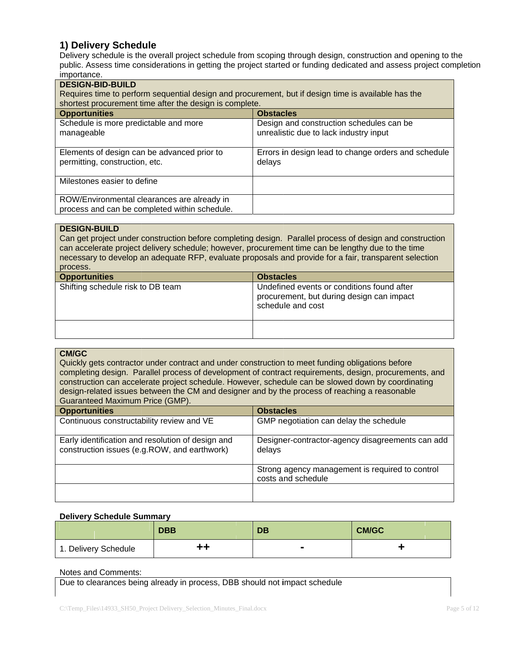#### 1) Delivery Schedule

Delivery schedule is the overall project schedule from scoping through design, construction and opening to the public. Assess time considerations in getting the project started or funding dedicated and assess project completion *importance* 

| <b>DESIGN-BID-BUILD</b><br>Requires time to perform sequential design and procurement, but if design time is available has the<br>shortest procurement time after the design is complete. |                                                                                    |  |  |  |
|-------------------------------------------------------------------------------------------------------------------------------------------------------------------------------------------|------------------------------------------------------------------------------------|--|--|--|
| <b>Opportunities</b>                                                                                                                                                                      | <b>Obstacles</b>                                                                   |  |  |  |
| Schedule is more predictable and more<br>manageable                                                                                                                                       | Design and construction schedules can be<br>unrealistic due to lack industry input |  |  |  |
| Elements of design can be advanced prior to<br>permitting, construction, etc.                                                                                                             | Errors in design lead to change orders and schedule<br>delays                      |  |  |  |
| Milestones easier to define                                                                                                                                                               |                                                                                    |  |  |  |
| ROW/Environmental clearances are already in<br>process and can be completed within schedule.                                                                                              |                                                                                    |  |  |  |

#### **DESIGN-BUILD**

Can get project under construction before completing design. Parallel process of design and construction can accelerate project delivery schedule; however, procurement time can be lengthy due to the time necessary to develop an adequate RFP, evaluate proposals and provide for a fair, transparent selection process.

| <b>Opportunities</b>              | <b>Obstacles</b>                                                                                             |  |
|-----------------------------------|--------------------------------------------------------------------------------------------------------------|--|
| Shifting schedule risk to DB team | Undefined events or conditions found after<br>procurement, but during design can impact<br>schedule and cost |  |
|                                   |                                                                                                              |  |

#### **CM/GC**

Quickly gets contractor under contract and under construction to meet funding obligations before completing design. Parallel process of development of contract requirements, design, procurements, and construction can accelerate project schedule. However, schedule can be slowed down by coordinating design-related issues between the CM and designer and by the process of reaching a reasonable Guaranteed Maximum Price (GMP).

| <b>Opportunities</b>                                                                              |  | <b>Obstacles</b>                                                      |  |
|---------------------------------------------------------------------------------------------------|--|-----------------------------------------------------------------------|--|
| Continuous constructability review and VE                                                         |  | GMP negotiation can delay the schedule                                |  |
| Early identification and resolution of design and<br>construction issues (e.g.ROW, and earthwork) |  | Designer-contractor-agency disagreements can add<br>delays            |  |
|                                                                                                   |  | Strong agency management is required to control<br>costs and schedule |  |
|                                                                                                   |  |                                                                       |  |

#### **Delivery Schedule Summary**

|                      | <b>DBB</b> | DB | <b>CM/GC</b> |
|----------------------|------------|----|--------------|
| 1. Delivery Schedule |            |    |              |

#### Notes and Comments:

Due to clearances being already in process, DBB should not impact schedule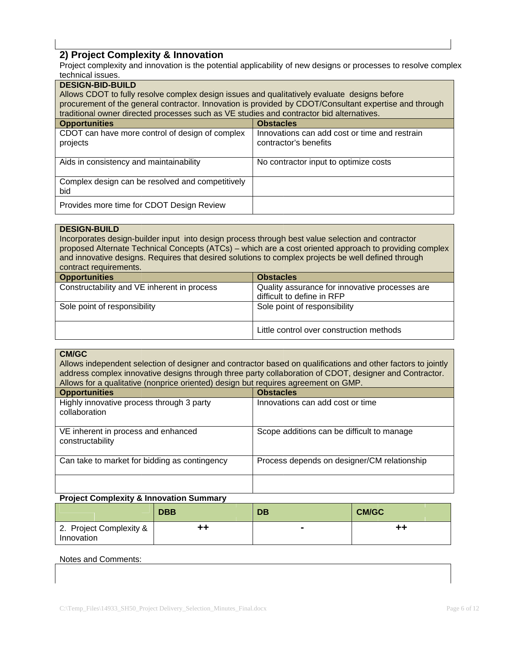### 2) Project Complexity & Innovation

Project complexity and innovation is the potential applicability of new designs or processes to resolve complex tochnical issues

| technical issues.                                                                                      |                                               |  |  |  |
|--------------------------------------------------------------------------------------------------------|-----------------------------------------------|--|--|--|
| <b>DESIGN-BID-BUILD</b>                                                                                |                                               |  |  |  |
| Allows CDOT to fully resolve complex design issues and qualitatively evaluate designs before           |                                               |  |  |  |
| procurement of the general contractor. Innovation is provided by CDOT/Consultant expertise and through |                                               |  |  |  |
| traditional owner directed processes such as VE studies and contractor bid alternatives.               |                                               |  |  |  |
| <b>Opportunities</b>                                                                                   | <b>Obstacles</b>                              |  |  |  |
| CDOT can have more control of design of complex                                                        | Innovations can add cost or time and restrain |  |  |  |
| projects                                                                                               | contractor's benefits                         |  |  |  |
|                                                                                                        |                                               |  |  |  |
| Aids in consistency and maintainability                                                                | No contractor input to optimize costs         |  |  |  |
|                                                                                                        |                                               |  |  |  |
| Complex design can be resolved and competitively                                                       |                                               |  |  |  |
| bid                                                                                                    |                                               |  |  |  |
| Provides more time for CDOT Design Review                                                              |                                               |  |  |  |
|                                                                                                        |                                               |  |  |  |

#### **DESIGN-BUILD**

Incorporates design-builder input into design process through best value selection and contractor proposed Alternate Technical Concepts (ATCs) – which are a cost oriented approach to providing complex and innovative designs. Requires that desired solutions to complex projects be well defined through contract requirements.

| <b>Opportunities</b>                        |  | <b>Obstacles</b>                                                             |                                          |  |
|---------------------------------------------|--|------------------------------------------------------------------------------|------------------------------------------|--|
| Constructability and VE inherent in process |  | Quality assurance for innovative processes are<br>difficult to define in RFP |                                          |  |
| Sole point of responsibility                |  |                                                                              | Sole point of responsibility             |  |
|                                             |  |                                                                              | Little control over construction methods |  |

#### **CM/GC**

Allows independent selection of designer and contractor based on qualifications and other factors to jointly address complex innovative designs through three party collaboration of CDOT, designer and Contractor. Allows for a qualitative (nonprice oriented) design but requires agreement on GMP

| <b>Opportunities</b>                                       | <b>Obstacles</b>                            |  |
|------------------------------------------------------------|---------------------------------------------|--|
| Highly innovative process through 3 party<br>collaboration | Innovations can add cost or time            |  |
| VE inherent in process and enhanced<br>constructability    | Scope additions can be difficult to manage  |  |
| Can take to market for bidding as contingency              | Process depends on designer/CM relationship |  |
|                                                            |                                             |  |

#### **Project Complexity & Innovation Summary**

|                                       | <b>DBB</b> | <b>DB</b> | <b>CM/GC</b> |
|---------------------------------------|------------|-----------|--------------|
| 2. Project Complexity &<br>Innovation | 00         |           | tt.          |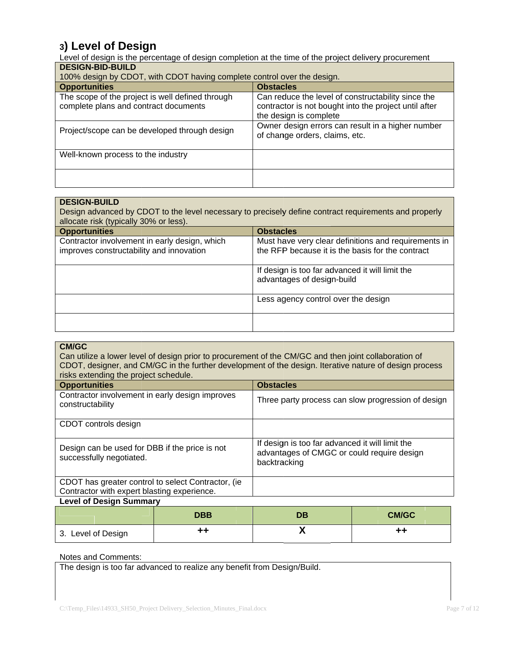3) Level of Design<br>Level of design is the percentage of design completion at the time of the project delivery procurement **DESIGN-BID-BUILD** 

| 100% design by CDOT, with CDOT having complete control over the design.                   |                                                                                                                                       |  |  |
|-------------------------------------------------------------------------------------------|---------------------------------------------------------------------------------------------------------------------------------------|--|--|
| <b>Opportunities</b>                                                                      | <b>Obstacles</b>                                                                                                                      |  |  |
| The scope of the project is well defined through<br>complete plans and contract documents | Can reduce the level of constructability since the<br>contractor is not bought into the project until after<br>the design is complete |  |  |
| Project/scope can be developed through design                                             | Owner design errors can result in a higher number<br>of change orders, claims, etc.                                                   |  |  |
| Well-known process to the industry                                                        |                                                                                                                                       |  |  |
|                                                                                           |                                                                                                                                       |  |  |

#### **DESIGN-BUILD**

Design advanced by CDOT to the level necessary to precisely define contract requirements and properly allocate risk (typically 30% or less).

| <b>Opportunities</b>                                                                      | <b>Obstacles</b>                                                                                         |  |  |
|-------------------------------------------------------------------------------------------|----------------------------------------------------------------------------------------------------------|--|--|
| Contractor involvement in early design, which<br>improves constructability and innovation | Must have very clear definitions and requirements in<br>the RFP because it is the basis for the contract |  |  |
|                                                                                           | If design is too far advanced it will limit the<br>advantages of design-build                            |  |  |
|                                                                                           | Less agency control over the design                                                                      |  |  |
|                                                                                           |                                                                                                          |  |  |

| <b>CM/GC</b>                                                               |            |                                                                                                               |                                                    |  |
|----------------------------------------------------------------------------|------------|---------------------------------------------------------------------------------------------------------------|----------------------------------------------------|--|
|                                                                            |            | Can utilize a lower level of design prior to procurement of the CM/GC and then joint collaboration of         |                                                    |  |
|                                                                            |            | CDOT, designer, and CM/GC in the further development of the design. Iterative nature of design process        |                                                    |  |
| risks extending the project schedule.                                      |            |                                                                                                               |                                                    |  |
|                                                                            |            |                                                                                                               |                                                    |  |
| <b>Opportunities</b>                                                       |            | <b>Obstacles</b>                                                                                              |                                                    |  |
| Contractor involvement in early design improves<br>constructability        |            |                                                                                                               | Three party process can slow progression of design |  |
| CDOT controls design                                                       |            |                                                                                                               |                                                    |  |
| Design can be used for DBB if the price is not<br>successfully negotiated. |            | If design is too far advanced it will limit the<br>advantages of CMGC or could require design<br>backtracking |                                                    |  |
| CDOT has greater control to select Contractor, (ie.                        |            |                                                                                                               |                                                    |  |
| Contractor with expert blasting experience.                                |            |                                                                                                               |                                                    |  |
| <b>Level of Design Summary</b>                                             |            |                                                                                                               |                                                    |  |
|                                                                            | <b>DRR</b> | <b>DR</b>                                                                                                     | CM/GC                                              |  |

#### X  $++$  $++$ 3. Level of Design

#### Notes and Comments:

The design is too far advanced to realize any benefit from Design/Build.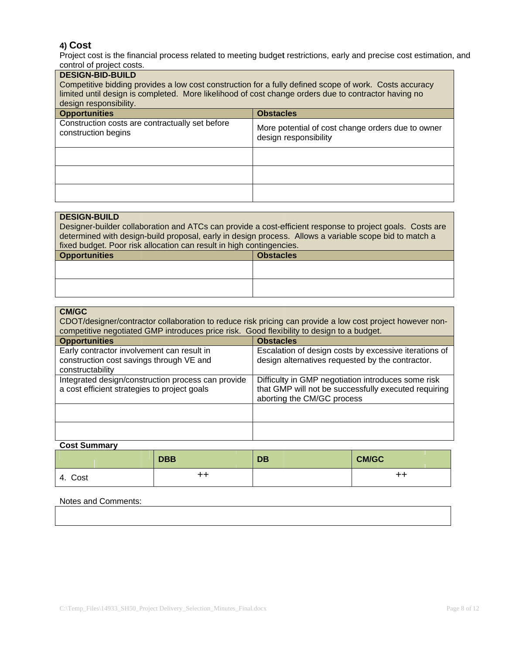### 4) Cost

Project cost is the financial process related to meeting budget restrictions, early and precise cost estimation, and<br>control of project costs.

| <b>DESIGN-BID-BUILD</b><br>Competitive bidding provides a low cost construction for a fully defined scope of work. Costs accuracy<br>limited until design is completed. More likelihood of cost change orders due to contractor having no |                                                                            |  |  |
|-------------------------------------------------------------------------------------------------------------------------------------------------------------------------------------------------------------------------------------------|----------------------------------------------------------------------------|--|--|
| design responsibility.<br><b>Opportunities</b><br><b>Obstacles</b>                                                                                                                                                                        |                                                                            |  |  |
| Construction costs are contractually set before<br>construction begins                                                                                                                                                                    | More potential of cost change orders due to owner<br>design responsibility |  |  |
|                                                                                                                                                                                                                                           |                                                                            |  |  |
|                                                                                                                                                                                                                                           |                                                                            |  |  |
|                                                                                                                                                                                                                                           |                                                                            |  |  |

| <b>DESIGN-BUILD</b>                                                                                       |                  |  |
|-----------------------------------------------------------------------------------------------------------|------------------|--|
| Designer-builder collaboration and ATCs can provide a cost-efficient response to project goals. Costs are |                  |  |
| determined with design-build proposal, early in design process. Allows a variable scope bid to match a    |                  |  |
| fixed budget. Poor risk allocation can result in high contingencies.                                      |                  |  |
| <b>Opportunities</b>                                                                                      | <b>Obstacles</b> |  |
|                                                                                                           |                  |  |
|                                                                                                           |                  |  |
|                                                                                                           |                  |  |
|                                                                                                           |                  |  |

| <b>CM/GC</b><br>CDOT/designer/contractor collaboration to reduce risk pricing can provide a low cost project however non-<br>competitive negotiated GMP introduces price risk. Good flexibility to design to a budget. |  |                                                                                  |                                                       |
|------------------------------------------------------------------------------------------------------------------------------------------------------------------------------------------------------------------------|--|----------------------------------------------------------------------------------|-------------------------------------------------------|
| <b>Opportunities</b>                                                                                                                                                                                                   |  | <b>Obstacles</b>                                                                 |                                                       |
| Early contractor involvement can result in<br>construction cost savings through VE and<br>constructability                                                                                                             |  | design alternatives requested by the contractor.                                 | Escalation of design costs by excessive iterations of |
| Integrated design/construction process can provide<br>a cost efficient strategies to project goals                                                                                                                     |  | Difficulty in GMP negotiation introduces some risk<br>aborting the CM/GC process | that GMP will not be successfully executed requiring  |
|                                                                                                                                                                                                                        |  |                                                                                  |                                                       |
|                                                                                                                                                                                                                        |  |                                                                                  |                                                       |

#### **Cost Summary**

|         | <b>DBB</b> |    | <b>DB</b> | <b>CM/GC</b> |
|---------|------------|----|-----------|--------------|
| 4. Cost |            | ++ |           | ++           |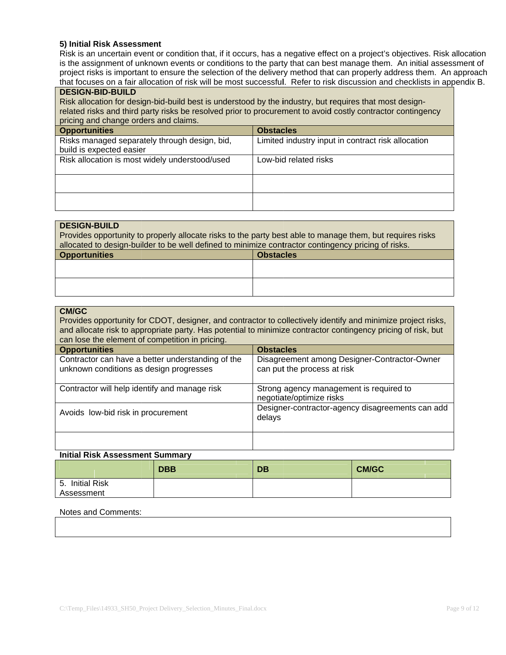#### 5) Initial Risk Assessment

Risk is an uncertain event or condition that, if it occurs, has a negative effect on a project's objectives. Risk allocation is the assignment of unknown events or conditions to the party that can best manage them. An initial assessment of project risks is important to ensure the selection of the delivery method that can properly address them. An approach that focuses on a fair allocation of risk will be most successful. Refer to risk discussion and checklists in appendix B.

#### **DESIGN-BID-BUILD**

Risk allocation for design-bid-build best is understood by the industry, but requires that most designrelated risks and third party risks be resolved prior to procurement to avoid costly contractor contingency pricing and change orders and claims.

| priority and criating condense and crammer     |  |                                                    |
|------------------------------------------------|--|----------------------------------------------------|
| <b>Opportunities</b>                           |  | <b>Obstacles</b>                                   |
| Risks managed separately through design, bid,  |  | Limited industry input in contract risk allocation |
| build is expected easier                       |  |                                                    |
| Risk allocation is most widely understood/used |  | Low-bid related risks                              |
|                                                |  |                                                    |
|                                                |  |                                                    |
|                                                |  |                                                    |
|                                                |  |                                                    |
|                                                |  |                                                    |

#### **DESIGN-BUILD**

| Provides opportunity to properly allocate risks to the party best able to manage them, but requires risks |                  |  |
|-----------------------------------------------------------------------------------------------------------|------------------|--|
| allocated to design-builder to be well defined to minimize contractor contingency pricing of risks.       |                  |  |
| <b>Opportunities</b>                                                                                      | <b>Obstacles</b> |  |
|                                                                                                           |                  |  |
|                                                                                                           |                  |  |
|                                                                                                           |                  |  |
|                                                                                                           |                  |  |
|                                                                                                           |                  |  |

#### **CM/GC**

Provides opportunity for CDOT, designer, and contractor to collectively identify and minimize project risks, and allocate risk to appropriate party. Has potential to minimize contractor contingency pricing of risk, but can lose the element of competition in pricing.

| <b>Opportunities</b>                                                                         | <b>Obstacles</b>                                                            |
|----------------------------------------------------------------------------------------------|-----------------------------------------------------------------------------|
| Contractor can have a better understanding of the<br>unknown conditions as design progresses | Disagreement among Designer-Contractor-Owner<br>can put the process at risk |
| Contractor will help identify and manage risk                                                | Strong agency management is required to<br>negotiate/optimize risks         |
| Avoids low-bid risk in procurement                                                           | Designer-contractor-agency disagreements can add<br>delays                  |
|                                                                                              |                                                                             |

#### **Initial Risk Assessment Summary**

|                               | <b>DBB</b> | <b>DB</b> | <b>CM/GC</b> |
|-------------------------------|------------|-----------|--------------|
| 5. Initial Risk<br>Assessment |            |           |              |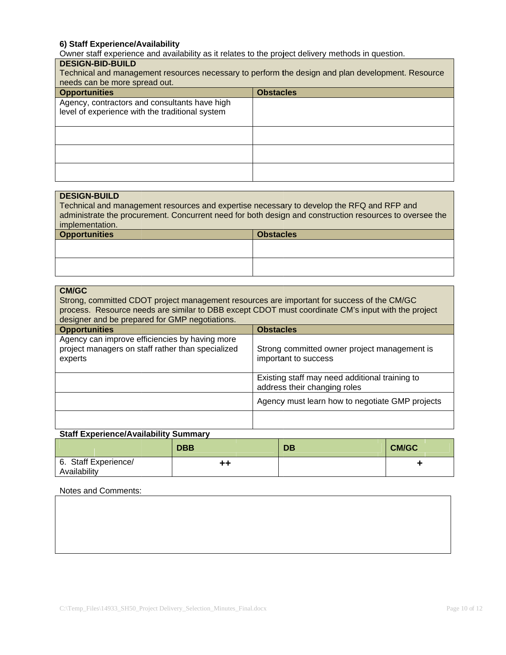#### 6) Staff Experience/Availability

Owner staff experience and availability as it relates to the project delivery methods in question.

### **DESIGN-BID-BUILD**

| Technical and management resources necessary to perform the design and plan development. Resource<br>needs can be more spread out. |                  |  |  |
|------------------------------------------------------------------------------------------------------------------------------------|------------------|--|--|
| <b>Opportunities</b>                                                                                                               | <b>Obstacles</b> |  |  |
| Agency, contractors and consultants have high<br>level of experience with the traditional system                                   |                  |  |  |
|                                                                                                                                    |                  |  |  |
|                                                                                                                                    |                  |  |  |
|                                                                                                                                    |                  |  |  |

# **DESIGN-BUILD** Technical and management resources and expertise necessary to develop the RFQ and RFP and administrate the procurement. Concurrent need for both design and construction resources to oversee the implementation. **Opportunities Obstacles**

| <b>CM/GC</b><br>Strong, committed CDOT project management resources are important for success of the CM/GC<br>process. Resource needs are similar to DBB except CDOT must coordinate CM's input with the project<br>designer and be prepared for GMP negotiations. |  |                                                                                |  |
|--------------------------------------------------------------------------------------------------------------------------------------------------------------------------------------------------------------------------------------------------------------------|--|--------------------------------------------------------------------------------|--|
| <b>Opportunities</b>                                                                                                                                                                                                                                               |  | <b>Obstacles</b>                                                               |  |
| Agency can improve efficiencies by having more<br>project managers on staff rather than specialized<br>experts                                                                                                                                                     |  | Strong committed owner project management is<br>important to success           |  |
|                                                                                                                                                                                                                                                                    |  | Existing staff may need additional training to<br>address their changing roles |  |
|                                                                                                                                                                                                                                                                    |  | Agency must learn how to negotiate GMP projects                                |  |
|                                                                                                                                                                                                                                                                    |  |                                                                                |  |

#### **Staff Experience/Availability Summary**

|                                      | <b>DBB</b> | <b>DB</b> | <b>CM/GC</b> |
|--------------------------------------|------------|-----------|--------------|
| 6. Staff Experience/<br>Availability | $++$       |           |              |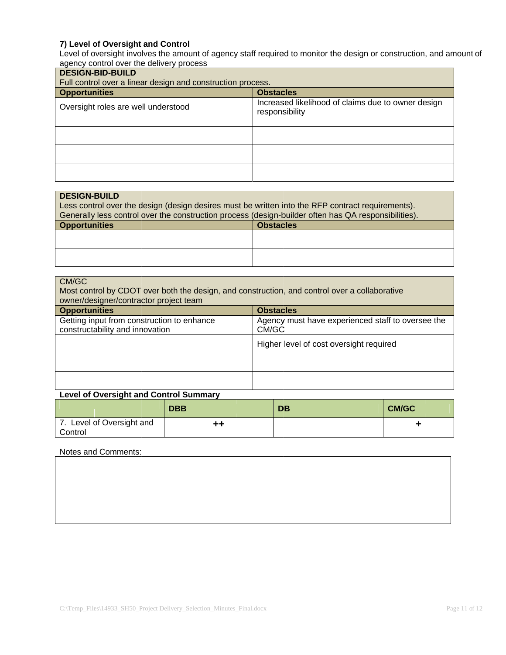#### 7) Level of Oversight and Control

Level of oversight involves the amount of agency staff required to monitor the design or construction, and amount of agency control over the delivery process

| <b>DESIGN-BID-BUILD</b><br>Full control over a linear design and construction process. |                                                                      |  |  |  |  |
|----------------------------------------------------------------------------------------|----------------------------------------------------------------------|--|--|--|--|
| <b>Opportunities</b>                                                                   | <b>Obstacles</b>                                                     |  |  |  |  |
| Oversight roles are well understood                                                    | Increased likelihood of claims due to owner design<br>responsibility |  |  |  |  |
|                                                                                        |                                                                      |  |  |  |  |
|                                                                                        |                                                                      |  |  |  |  |
|                                                                                        |                                                                      |  |  |  |  |

#### **DESIGN-BUILD**

Less control over the design (design desires must be written into the RFP contract requirements). Generally less control over the construction process (design-builder often has QA responsibilities).

| <b>Opportunities</b> | <b>Obstacles</b> |
|----------------------|------------------|
|                      |                  |
|                      |                  |
|                      |                  |
|                      |                  |

| CM/GC<br>Most control by CDOT over both the design, and construction, and control over a collaborative<br>owner/designer/contractor project team |                  |                                                   |  |
|--------------------------------------------------------------------------------------------------------------------------------------------------|------------------|---------------------------------------------------|--|
| <b>Opportunities</b>                                                                                                                             | <b>Obstacles</b> |                                                   |  |
| Getting input from construction to enhance<br>constructability and innovation                                                                    | CM/GC            | Agency must have experienced staff to oversee the |  |
|                                                                                                                                                  |                  | Higher level of cost oversight required           |  |
|                                                                                                                                                  |                  |                                                   |  |
|                                                                                                                                                  |                  |                                                   |  |

#### **Level of Oversight and Control Summary**

|                                   | <b>DBB</b> | DB | <b>CM/GC</b> |
|-----------------------------------|------------|----|--------------|
| Level of Oversight and<br>Control | ++         |    |              |